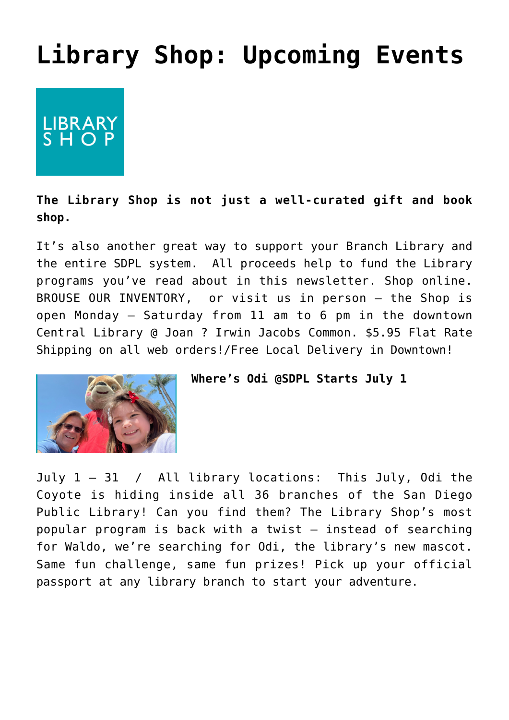## **[Library Shop: Upcoming Events](https://sancarlosfriendsofthelibrary.org/2022/06/10/library-shop-news/)**

LIBRARY<br>SHOP

## **The [Library Shop](https://www.libraryshopsd.org/) is not just a well-curated gift and book shop.**

It's also another great way to support your Branch Library and the entire SDPL system. All proceeds help to fund the Library programs you've read about in this newsletter. Shop online. [BROUSE OUR INVENTORY,](https://www.libraryshopsd.org/s/shop) or visit us in person — the Shop is open Monday – Saturday from 11 am to 6 pm in the downtown Central Library @ Joan ? Irwin Jacobs Common. \$5.95 Flat Rate Shipping on all web orders!/Free Local Delivery in Downtown!



## **Where's Odi @SDPL Starts July 1**

July 1 – 31 / All library locations: This July, Odi the Coyote is hiding inside all 36 branches of the San Diego Public Library! Can you find them? The Library Shop's most popular program is back with a twist – instead of searching for Waldo, we're searching for Odi, the library's new mascot. Same fun challenge, same fun prizes! Pick up your official passport at any library branch to start your adventure.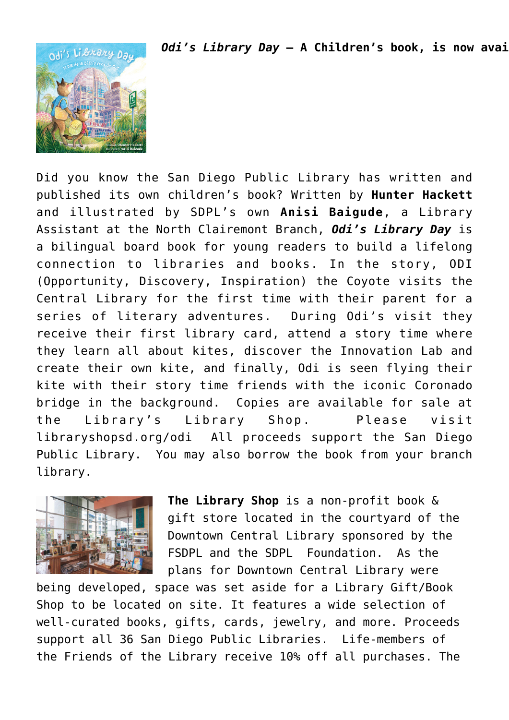*Odi's Library Day* - A Children's book, is now avai



Did you know the San Diego Public Library has written and published its own children's book? Written by **Hunter Hackett** and illustrated by SDPL's own **Anisi Baigude**, a Library Assistant at the North Clairemont Branch, *Odi's Library Day* is a bilingual board book for young readers to build a lifelong connection to libraries and books. In the story, ODI (Opportunity, Discovery, Inspiration) the Coyote visits the Central Library for the first time with their parent for a series of literary adventures. During Odi's visit they receive their first library card, attend a story time where they learn all about kites, discover the Innovation Lab and create their own kite, and finally, Odi is seen flying their kite with their story time friends with the iconic Coronado bridge in the background. Copies are available for sale at the Library's Library Shop. Please visit [libraryshopsd.org/odi](https://www.libraryshopsd.org/) All proceeds support the San Diego Public Library. You may also borrow the book from your branch library.



**The Library Shop** is a non-profit book & gift store located in the courtyard of the Downtown Central Library sponsored by the FSDPL and the SDPL Foundation. As the plans for Downtown Central Library were

being developed, space was set aside for a Library Gift/Book Shop to be located on site. It features a wide selection of well-curated books, gifts, cards, jewelry, and more. Proceeds support all 36 San Diego Public Libraries. Life-members of the Friends of the Library receive 10% off all purchases. The